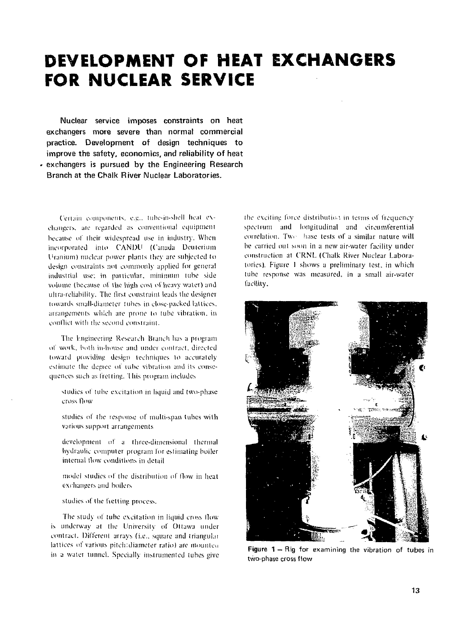## **DEVELOPMENT OF HEAT EXCHANGERS FOR NUCLEAR SERVICE**

Nuclear service imposes constraints on heat exchangers more severe than normal commercial practice. Development of design techniques to improve the safety, economics, and reliability of heat exchangers is pursued by the Engineering Research Branch at the Chalk River Nuclear Laboratories.

Certain components, e.g.. tube-in-shell heat exchangers, are regarded as conventional equipment because of their widespread use in industry. When incorporated into CANDU (Canada Deuterium Uranium) nuclear power plants they are subjected to design constraints not commonly applied for general industrial use: in particular, minimum lube side volume (because of the high cost of heavy water) and ultra-reliability. The first constraint leads the designer towards small-diameter tubes in close-packed lattices, arrangements which are prone to tube vibration, in conflict with the second constraint.

The Engineering Research Branch has a program of work, both in-home and under contract, directed toward providing design techniques to accurately estimate the degree of tube vibration and its consequences such as fretting. 1 his program includes

- studies of tube excitation in liquid and two-phase cross How
- studies of the response of multi-spun tubes with various support arrangements
- development of a three-dimensional thermal hydraulic computer program for estimating boiler internal flow conditions in detail
- model studies of the distribution of How in heat exchangers and boilers
- studies of the fretting process.

The study of tube excitation in liquid cross flow is underway at the University of Ottawa under contract. Different arrays (i.e.. square and Iriangulai lattices of various pitch:diameter ratio) are mounted in a water tunnel. Specially instrumented tubes give the exciting force distribution in terms of frequency spectrum and longitudinal and circumferential correlation. Two hase tests of a similar nature will be carried out soon in a new air-water facility under construction at C'RNL (Chalk River Nuclear Laboratories). Figure 1 shows a preliminary test, in which lube response was measured, in a small air-water facility.



**Figure 1** — Rig for examining the vibration of tubes in two-phase cross flow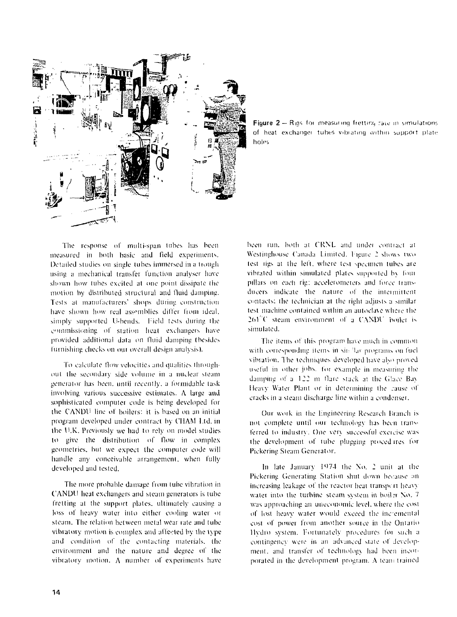

Figure 2 -- Rigs for measuring fretting rate in simulations of heat exchanger tubes vibrating within support plate holes

The response of multi-span tubes has been measured in both basic and field experiments. Detailed studies on single tubes immersed in a trough using a mechanical transfer function analyser have shown how tubes excited al one point dissipate the motion by distributed structural and fluid damping. Tests at manufacturers' shops during construction have shown how real assemblies differ from ideal, simply supported U-hends. Field tests during the commissioning ol station heat exchangers have provided additional data on fluid damping (besides furnishing checks on oui overall design analysis).

To calculate How velocities and qualities throughout the secondary side volume in a nuclear steam generator has been, until recently, a formidable task involving various successive estimates. A large and sophisticated computer code is being developed for the CANDU line of boilers: it is based on an initial program developed under contract by CHAM Ltd. in the U.K. Previously we had to rely on model studies to give the distribution of How in complex geometries, but we expect the computer code will handle any conceivable arrangement, when fully developed and tested.

The more probable damage from tube vibration in C'ANDU heat exchangers and steam generators is tube fretting at the support plates, ultimately causing a loss of heavy water into either cooling water or steam. The relation between melal wear rate and tube vibratory motion is complex and affected by the type and condition of the contacting materials, the environment and the nature and degree of the vibratory motion. A number of experiments have been run. both at CRNL and under contract at Westinghouse Canada Limited, Figure 2 shows two lest rigs al the left, where test specimen tubes are vibrated within simulated plates supported by four pillars on each rig: acceleromeiers and force tiansducers indicate the nature of the intermittent contacts: the technician at the right adjusts a similar lest machine contained within an autoclave where the  $261^{\circ}$ C steam environment of a CANDU boiler is simulated.

The items ol' this program have much in common with corresponding items in sin flar programs on fuel vibration. The techniques developed have also proved useful in other johs. for example in measuring the damping of a 122 m flare stack at the Glace Bay Heavy Water Plant or in determining the cause of cracks in a steam discharge line within a condenser.

Our work in the Lngineering Research Branch is not complete until our technology has been transferred to industry. One very successful exercise was the development of tube plugging proced ires for Pickering Sleam Generator.

In late January 1474 the No. 2 unil at the Pickering Generating Station shut down because an increasing leakage of the reactor heal transpen heavy water into the turbine steam system in boiler No. 7 was approaching an uneconomic level, where the cost of lost heavy waler would exceed the inc emenlal cost of power from another source in the Ontario Hydro system. Fortunately procedures for such a contingency were in an advanced state of development, and transfer of technology had been incorporated in the development program. A team trained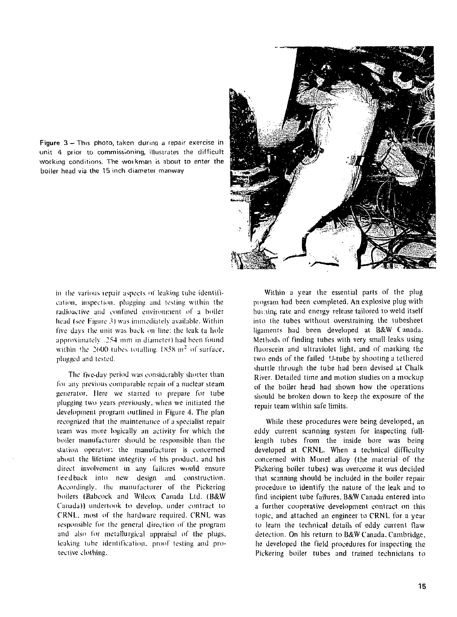Figure 3 - This photo, taken during a repair exercise in unit 4 prior to commissioning, illustrates the difficult working conditions. The woikman is about to enter the boiler head via the 15 inch diameter manway



in the various repair aspects of leaking tube identification, inspection, plugging and testing within the radioactive and confined environment of a boiler head (see Figure 3) was immediately available. Within five days the unit was back on line; the leak (a hole approximately *.2.54* mm in diameter) had been found within the 2600 tubes totalling  $1858 \text{ m}^2$  of surface, plugged and tested.

The five-day period was considerably shorter than foi any previous comparable repair of a nuclear steam generator. Here we started to prepare for tube plugging two years previously, when we initiated the development program outlined in Figure 4. The plan recognized that the maintenance of a specialist repair team was more logically an activity for which the boiler manufacturer should be responsible than the station operator: the manufacturer is concerned about the lifetime integrity nf his product, and his direct involvement in any failures would ensure feedback into new design and construction. Accordingly, the manufacturer of the Pickering boilers (Babcock and Wilcox Canada Ltd. (B&W Canada)) undertook to develop, under contract to CRNL. most of the hardware required. CRNL was responsible for the general direction of the program and also for metallurgical appraisal of the plugs, leaking tube identification, proof testing and protective clothing.

Within a year the essential parts of the plug program had been completed. An explosive plug with but ting rate and energy release tailored to weld itself into the tubes without overstraining the tubesheet ligaments had been developed at B&W Canada. Methods of finding tubes with very small leaks using fluorscein and ultraviolet light, and of marking the two ends of the failed U-tube by shooting a tethered shuttle through the tube had been devised at Chalk River. Detailed time and motion studies on a mockup of the boiler head had shown how the operations should be broken down to keep the exposure of the repair team within safe limits.

While these procedures were being developed, an eddy current scanning system for inspecting fulllength tubes from the inside bore was being developed at CRNL. When a technical difficulty concerned with Monel alloy (the material of the Pickering boiler tubes) was overcome it was decided that scanning should be included in the boiler repair procedure to identify the nature of the leak and to find incipient tube failures. B&W Canada entered into a further cooperative development contract on this topic, and attached an engineer to CRNL for a year to learn the technical details of eddy current flaw detection. On his return to B&W Canada, Cambridge, he developed the field procedures for inspecting the Pickering boiler tubes and trained technicians to